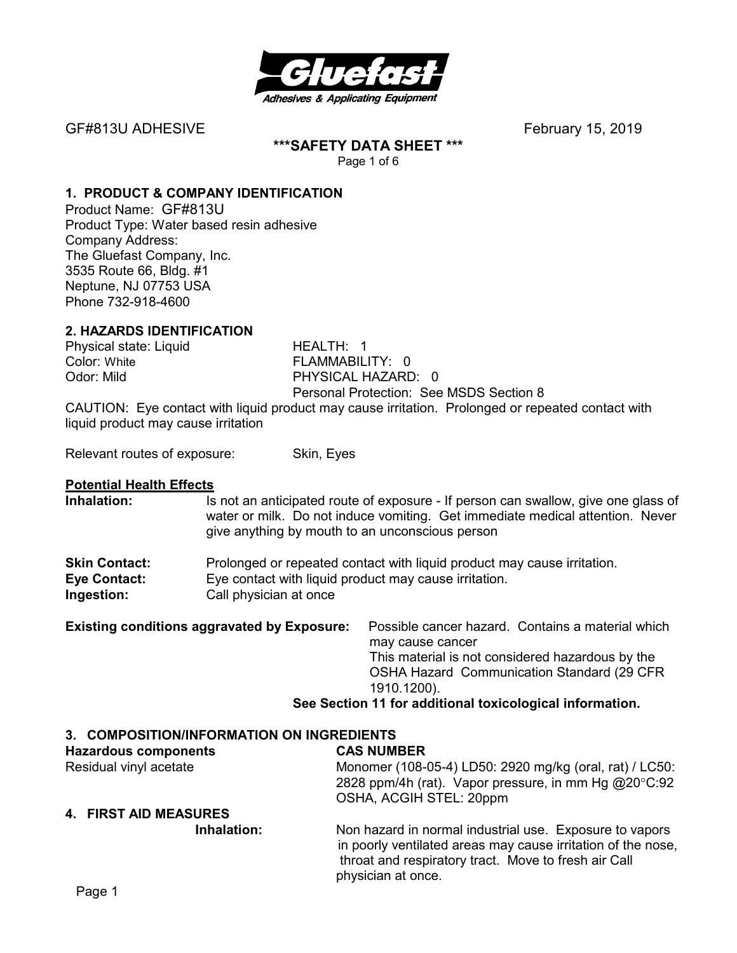

**\*\*\*SAFETY DATA SHEET \*\*\*** 

Page 1 of 6

# **1. PRODUCT & COMPANY IDENTIFICATION**

Product Name: GF#813U Product Type: Water based resin adhesive Company Address: The Gluefast Company, Inc. 3535 Route 66, Bldg. #1 Neptune, NJ 07753 USA Phone 732-918-4600

# **2. HAZARDS IDENTIFICATION**

Physical state: Liquid HEALTH: 1 Color: White FLAMMABILITY: 0

PHYSICAL HAZARD: 0 Personal Protection: See MSDS Section 8

CAUTION: Eye contact with liquid product may cause irritation. Prolonged or repeated contact with liquid product may cause irritation

Relevant routes of exposure: Skin, Eyes

#### **Potential Health Effects**

**Inhalation:** Is not an anticipated route of exposure - If person can swallow, give one glass of water or milk. Do not induce vomiting. Get immediate medical attention. Never give anything by mouth to an unconscious person

| <b>Skin Contact:</b> | Prolonged or repeated contact with liquid product may cause irritation. |
|----------------------|-------------------------------------------------------------------------|
| <b>Eye Contact:</b>  | Eye contact with liquid product may cause irritation.                   |
| Ingestion:           | Call physician at once                                                  |

| <b>Existing conditions aggravated by Exposure:</b> | Possible cancer hazard. Contains a material which        |
|----------------------------------------------------|----------------------------------------------------------|
|                                                    | may cause cancer                                         |
|                                                    | This material is not considered hazardous by the         |
|                                                    | OSHA Hazard Communication Standard (29 CFR               |
|                                                    | 1910.1200).                                              |
|                                                    | Can Continue 44 few edditional textententeal information |

# **See Section 11 for additional toxicological information.**

# **3. COMPOSITION/INFORMATION ON INGREDIENTS**

#### **Hazardous components CAS NUMBER**  Residual vinyl acetate Monomer (108-05-4) LD50: 2920 mg/kg (oral, rat) / LC50: 2828 ppm/4h (rat). Vapor pressure, in mm Hg @20°C:92 OSHA, ACGIH STEL: 20ppm **4. FIRST AID MEASURES Inhalation:** Non hazard in normal industrial use. Exposure to vapors

in poorly ventilated areas may cause irritation of the nose, throat and respiratory tract. Move to fresh air Call physician at once.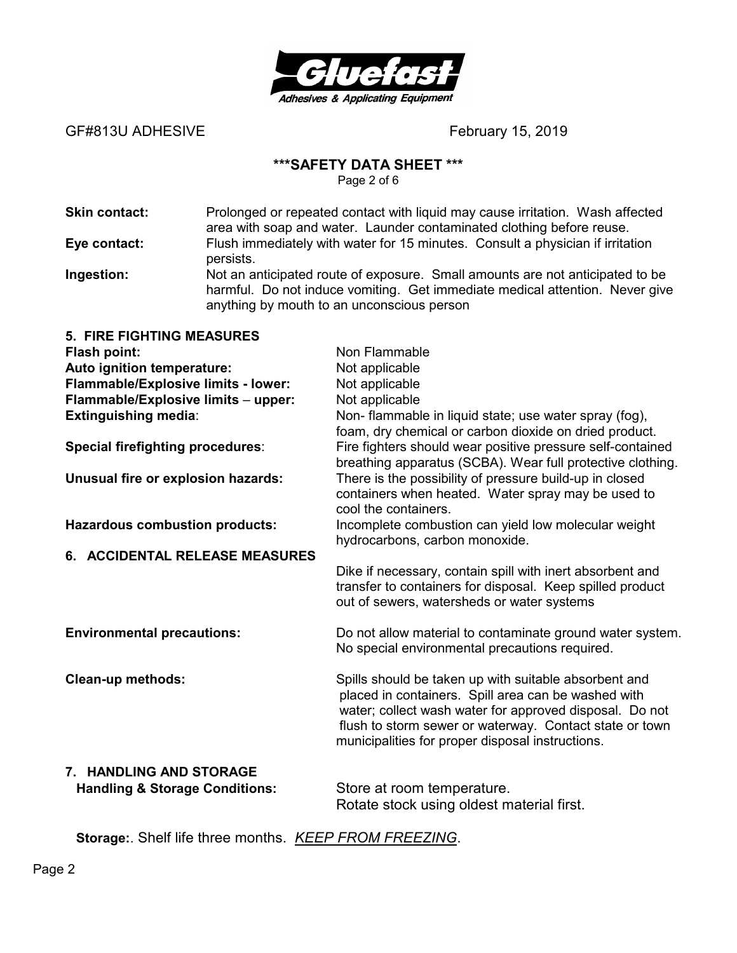

GF#813U ADHESIVE **SERIEF AND ADHESIVE February 15, 2019** 

#### **\*\*\*SAFETY DATA SHEET \*\*\***

Page 2 of 6

| <b>Skin contact:</b> | Prolonged or repeated contact with liquid may cause irritation. Wash affected<br>area with soap and water. Launder contaminated clothing before reuse.                                                      |
|----------------------|-------------------------------------------------------------------------------------------------------------------------------------------------------------------------------------------------------------|
| Eye contact:         | Flush immediately with water for 15 minutes. Consult a physician if irritation<br>persists.                                                                                                                 |
| Ingestion:           | Not an anticipated route of exposure. Small amounts are not anticipated to be<br>harmful. Do not induce vomiting. Get immediate medical attention. Never give<br>anything by mouth to an unconscious person |

| <b>5. FIRE FIGHTING MEASURES</b>          |                                                                                                                                                                                                                                                                                        |
|-------------------------------------------|----------------------------------------------------------------------------------------------------------------------------------------------------------------------------------------------------------------------------------------------------------------------------------------|
| <b>Flash point:</b>                       | Non Flammable                                                                                                                                                                                                                                                                          |
| Auto ignition temperature:                | Not applicable                                                                                                                                                                                                                                                                         |
| Flammable/Explosive limits - lower:       | Not applicable                                                                                                                                                                                                                                                                         |
| Flammable/Explosive limits - upper:       | Not applicable                                                                                                                                                                                                                                                                         |
| <b>Extinguishing media:</b>               | Non- flammable in liquid state; use water spray (fog),<br>foam, dry chemical or carbon dioxide on dried product.                                                                                                                                                                       |
| <b>Special firefighting procedures:</b>   | Fire fighters should wear positive pressure self-contained<br>breathing apparatus (SCBA). Wear full protective clothing.                                                                                                                                                               |
| Unusual fire or explosion hazards:        | There is the possibility of pressure build-up in closed<br>containers when heated. Water spray may be used to<br>cool the containers.                                                                                                                                                  |
| <b>Hazardous combustion products:</b>     | Incomplete combustion can yield low molecular weight<br>hydrocarbons, carbon monoxide.                                                                                                                                                                                                 |
| 6. ACCIDENTAL RELEASE MEASURES            |                                                                                                                                                                                                                                                                                        |
|                                           | Dike if necessary, contain spill with inert absorbent and<br>transfer to containers for disposal. Keep spilled product<br>out of sewers, watersheds or water systems                                                                                                                   |
| <b>Environmental precautions:</b>         | Do not allow material to contaminate ground water system.<br>No special environmental precautions required.                                                                                                                                                                            |
| <b>Clean-up methods:</b>                  | Spills should be taken up with suitable absorbent and<br>placed in containers. Spill area can be washed with<br>water; collect wash water for approved disposal. Do not<br>flush to storm sewer or waterway. Contact state or town<br>municipalities for proper disposal instructions. |
| 7. HANDLING AND STORAGE                   |                                                                                                                                                                                                                                                                                        |
| <b>Handling &amp; Storage Conditions:</b> | Store at room temperature.                                                                                                                                                                                                                                                             |

Rotate stock using oldest material first.

**Storage:**. Shelf life three months. *KEEP FROM FREEZING*.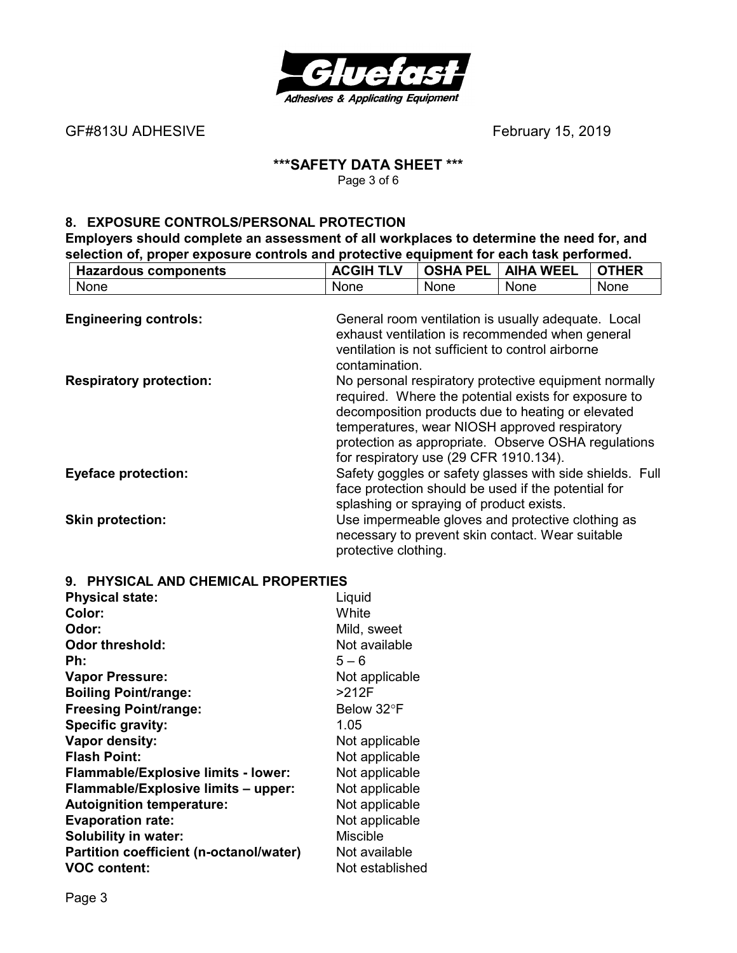

GF#813U ADHESIVE **BEF#813U ADHESIVE** 

#### **\*\*\*SAFETY DATA SHEET \*\*\***  Page 3 of 6

## **8. EXPOSURE CONTROLS/PERSONAL PROTECTION**

**Employers should complete an assessment of all workplaces to determine the need for, and selection of, proper exposure controls and protective equipment for each task performed.** 

| <b>Hazardous components</b>    | <b>ACGIH TLV</b>                                                                                                                                                                                                                                                                                                                       | <b>OSHA PEL</b> | <b>AIHA WEEL</b>                                                                                                                                            | <b>OTHER</b> |
|--------------------------------|----------------------------------------------------------------------------------------------------------------------------------------------------------------------------------------------------------------------------------------------------------------------------------------------------------------------------------------|-----------------|-------------------------------------------------------------------------------------------------------------------------------------------------------------|--------------|
| None                           | None                                                                                                                                                                                                                                                                                                                                   | <b>None</b>     | <b>None</b>                                                                                                                                                 | None         |
| <b>Engineering controls:</b>   |                                                                                                                                                                                                                                                                                                                                        |                 | General room ventilation is usually adequate. Local<br>exhaust ventilation is recommended when general<br>ventilation is not sufficient to control airborne |              |
| <b>Respiratory protection:</b> | contamination.<br>No personal respiratory protective equipment normally<br>required. Where the potential exists for exposure to<br>decomposition products due to heating or elevated<br>temperatures, wear NIOSH approved respiratory<br>protection as appropriate. Observe OSHA regulations<br>for respiratory use (29 CFR 1910.134). |                 |                                                                                                                                                             |              |
| <b>Eyeface protection:</b>     | Safety goggles or safety glasses with side shields. Full<br>face protection should be used if the potential for<br>splashing or spraying of product exists.                                                                                                                                                                            |                 |                                                                                                                                                             |              |
| <b>Skin protection:</b>        | protective clothing.                                                                                                                                                                                                                                                                                                                   |                 | Use impermeable gloves and protective clothing as<br>necessary to prevent skin contact. Wear suitable                                                       |              |

| 9. PHYSICAL AND CHEMICAL PROPERTIES            |                 |  |
|------------------------------------------------|-----------------|--|
| <b>Physical state:</b>                         | Liquid          |  |
| Color:                                         | White           |  |
| Odor:                                          | Mild, sweet     |  |
| <b>Odor threshold:</b>                         | Not available   |  |
| Ph:                                            | $5 - 6$         |  |
| <b>Vapor Pressure:</b>                         | Not applicable  |  |
| <b>Boiling Point/range:</b>                    | >212F           |  |
| <b>Freesing Point/range:</b>                   | Below 32°F      |  |
| Specific gravity:                              | 1.05            |  |
| Vapor density:                                 | Not applicable  |  |
| <b>Flash Point:</b>                            | Not applicable  |  |
| <b>Flammable/Explosive limits - lower:</b>     | Not applicable  |  |
| Flammable/Explosive limits - upper:            | Not applicable  |  |
| <b>Autoignition temperature:</b>               | Not applicable  |  |
| <b>Evaporation rate:</b>                       | Not applicable  |  |
| <b>Solubility in water:</b>                    | <b>Miscible</b> |  |
| <b>Partition coefficient (n-octanol/water)</b> | Not available   |  |
| <b>VOC content:</b>                            | Not established |  |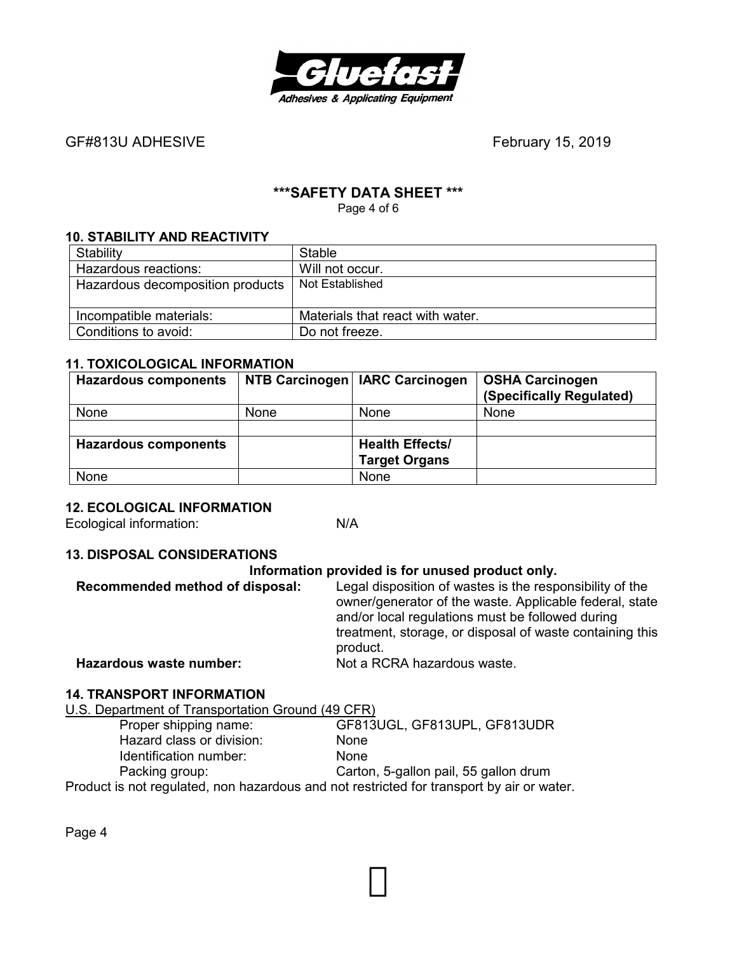

# **\*\*\*SAFETY DATA SHEET \*\*\***

Page 4 of 6

#### **10. STABILITY AND REACTIVITY**

| Stability                        | Stable                           |
|----------------------------------|----------------------------------|
| Hazardous reactions:             | Will not occur.                  |
| Hazardous decomposition products | Not Established                  |
|                                  |                                  |
| Incompatible materials:          | Materials that react with water. |
| Conditions to avoid:             | Do not freeze.                   |

#### **11. TOXICOLOGICAL INFORMATION**

| <b>Hazardous components</b> |      | NTB Carcinogen   IARC Carcinogen | <b>OSHA Carcinogen</b><br>(Specifically Regulated) |
|-----------------------------|------|----------------------------------|----------------------------------------------------|
| None                        | None | None                             | None                                               |
|                             |      |                                  |                                                    |
| <b>Hazardous components</b> |      | <b>Health Effects/</b>           |                                                    |
|                             |      | <b>Target Organs</b>             |                                                    |
| None                        |      | None                             |                                                    |

#### **12. ECOLOGICAL INFORMATION**

Ecological information: N/A

#### **13. DISPOSAL CONSIDERATIONS**

| Information provided is for unused product only. |                                                                                                                                                                                                                                                 |  |
|--------------------------------------------------|-------------------------------------------------------------------------------------------------------------------------------------------------------------------------------------------------------------------------------------------------|--|
| Recommended method of disposal:                  | Legal disposition of wastes is the responsibility of the<br>owner/generator of the waste. Applicable federal, state<br>and/or local regulations must be followed during<br>treatment, storage, or disposal of waste containing this<br>product. |  |
| Hazardous waste number:                          | Not a RCRA hazardous waste.                                                                                                                                                                                                                     |  |
| ,,,,,,,,,,,,,,,,,,,,,,                           |                                                                                                                                                                                                                                                 |  |

## **14. TRANSPORT INFORMATION**

U.S. Department of Transportation Ground (49 CFR)<br>Proper shipping name: GF813

GF813UGL, GF813UPL, GF813UDR Hazard class or division: None Identification number: None Packing group: Carton, 5-gallon pail, 55 gallon drum Product is not regulated, non hazardous and not restricted for transport by air or water.

Page 4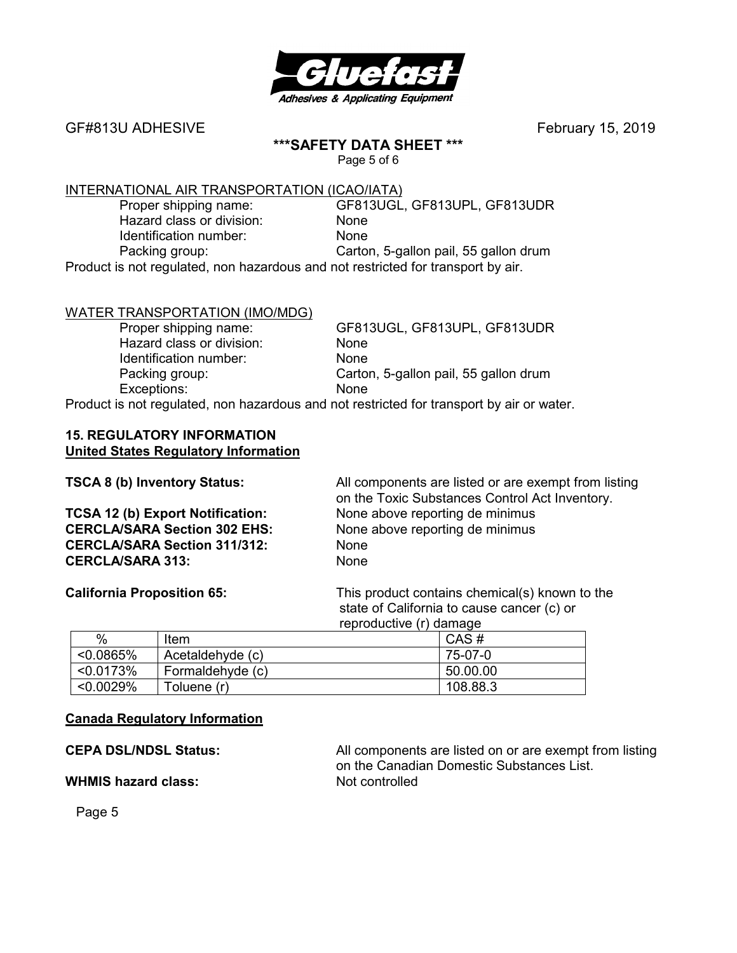

#### **\*\*\*SAFETY DATA SHEET \*\*\***

Page 5 of 6

# INTERNATIONAL AIR TRANSPORTATION (ICAO/IATA)<br>Proper shipping name: GF813UGL,

 Hazard class or division: None Identification number: None

GF813UGL, GF813UPL, GF813UDR Packing group: Carton, 5-gallon pail, 55 gallon drum

Product is not regulated, non hazardous and not restricted for transport by air.

# WATER TRANSPORTATION (IMO/MDG)

Hazard class or division: None Identification number: None Exceptions: None

 Proper shipping name: GF813UGL, GF813UPL, GF813UDR Packing group: Carton, 5-gallon pail, 55 gallon drum

Product is not regulated, non hazardous and not restricted for transport by air or water.

#### **15. REGULATORY INFORMATION United States Regulatory Information**

| TSCA 8 (b) Inventory Status:        | All components are listed or are exempt from listing<br>on the Toxic Substances Control Act Inventory. |
|-------------------------------------|--------------------------------------------------------------------------------------------------------|
| TCSA 12 (b) Export Notification:    | None above reporting de minimus                                                                        |
| <b>CERCLA/SARA Section 302 EHS:</b> | None above reporting de minimus                                                                        |
| <b>CERCLA/SARA Section 311/312:</b> | <b>None</b>                                                                                            |
| <b>CERCLA/SARA 313:</b>             | None                                                                                                   |

**California Proposition 65:** This product contains chemical(s) known to the state of California to cause cancer (c) or reproductive (r) damage

|              |                  | --------- |
|--------------|------------------|-----------|
| %            | Item             | CAS#      |
| $< 0.0865\%$ | Acetaldehyde (c) | 75-07-0   |
| < 0.0173%    | Formaldehyde (c) | 50.00.00  |
| < 0.0029%    | Toluene (r)      | 108.88.3  |

#### **Canada Regulatory Information**

**WHMIS hazard class:** Not controlled

**CEPA DSL/NDSL Status:** All components are listed on or are exempt from listing on the Canadian Domestic Substances List.

Page 5